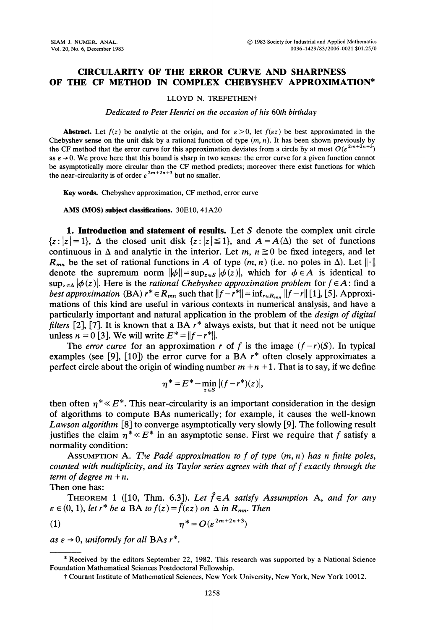## CIRCULARITY OF THE ERROR CURVE AND SHARPNESS OF THE CF METHOD IN COMPLEX CHEBYSHEV APPROXIMATION\*

## LLOYD N. TREFETHEN"

## Dedicated to Peter Henrici on the occasion of his 60th birthday

**Abstract.** Let  $f(z)$  be analytic at the origin, and for  $\varepsilon > 0$ , let  $f(\varepsilon z)$  be best approximated in the Chebyshev sense on the unit disk by a rational function of type  $(m, n)$ . It has been shown previously by the CF method that the error curve for this approximation deviates from a circle by at most  $O(\varepsilon^{2m+2n+3})$ as  $\varepsilon \to 0$ . We prove here that this bound is sharp in two senses: the error curve for a given function cannot be asymptotically more circular than the CF method predicts; moreover there exist functions for which the near-circularity is of order  $\varepsilon^{2m+2n+3}$  but no smaller.

Key words. Chebyshev approximation, CF method, error curve

AMS (MOS) subject classifications. 30E10, 41A20

**1. Introduction and statement of results.** Let  $S$  denote the complex unit circle  ${z: |z|= 1}$ ,  $\Delta$  the closed unit disk  ${z: |z| \le 1}$ , and  $A = A(\Delta)$  the set of functions continuous in  $\Delta$  and analytic in the interior. Let m,  $n \ge 0$  be fixed integers, and let  $R_{mn}$  be the set of rational functions in A of type  $(m, n)$  (i.e. no poles in  $\Delta$ ). Let  $\|\cdot\|$ denote the supremum norm  $\|\phi\| = \sup_{z \in S} |\phi(z)|$ , which for  $\phi \in A$  is identical to  $\sup_{z \in \Delta} |\phi(z)|$ . Here is the *rational Chebyshev approximation problem* for  $f \in A$ : find a best approximation (BA)  $r^* \in R_{mn}$  such that  $||f-r^*|| = \inf_{r \in R_{mn}} ||f-r||$  [1], [5]. Approximations of this kind are useful in various contexts in numerical analysis, and have a particularly important and natural application in the problem of the design of digital filters [2], [7]. It is known that a BA  $r^*$  always exists, but that it need not be unique unless  $n = 0$  [3]. We will write  $E^* = ||f - r^*||$ .

The error curve for an approximation r of f is the image  $(f-r)(S)$ . In typical examples (see [9], [10]) the error curve for a BA  $r^*$  often closely approximates a perfect circle about the origin of winding number  $m + n + 1$ . That is to say, if we define

$$
\eta^* = E^* - \min_{z \in S} |(f - r^*)(z)|,
$$

then often  $\eta^* \ll E^*$ . This near-circularity is an important consideration in the design of algorithms to compute BAs numerically; for example, it causes the well-known Lawson algorithm [8] to converge asymptotically very slowly [9]. The following result justifies the claim  $\eta^* \ll E^*$  in an asymptotic sense. First we require that f satisfy a normality condition:

ASSUMPTION A. The Padé approximation to f of type  $(m, n)$  has n finite poles, counted with multiplicity, and its Taylor series agrees with that of  $f$  exactly through the term of degree  $m + n$ .

Then one has:

THEOREM 1 ([10, Thm. 6.3]). Let  $\hat{f} \in A$  satisfy Assumption A, and for any  $\varepsilon \in (0, 1)$ , let  $r^*$  be a BA to  $f(z) = \hat{f}(\varepsilon z)$  on  $\Delta$  in  $R_{mn}$ . Then

$$
\eta^* = O(\varepsilon^{2m+2n+3})
$$

as  $\varepsilon \rightarrow 0$ , uniformly for all BAs  $r^*$ .

<sup>\*</sup> Received by the editors September 22, 1982. This research was supported by a National Science Foundation Mathematical Sciences Postdoctoral Fellowship.

Courant Institute of Mathematical Sciences, New York University, New York, New York 10012.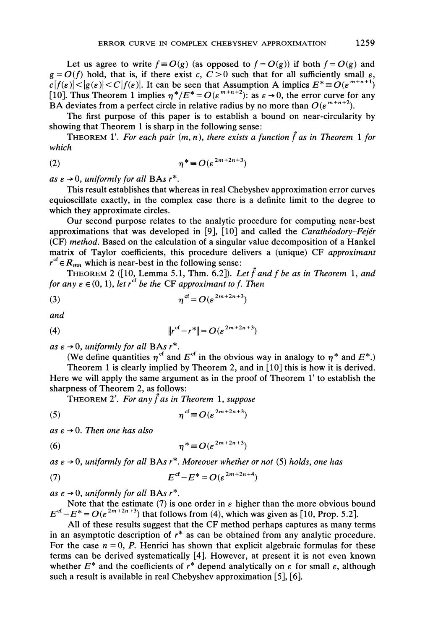Let us agree to write  $f = O(g)$  (as opposed to  $f = O(g)$ ) if both  $f = O(g)$  and  $g = O(f)$  hold, that is, if there exist c,  $C > 0$  such that for all sufficiently small  $\varepsilon$ ,  $c|f(\varepsilon)| < |g(\varepsilon)| < C|f(\varepsilon)|$ . It can be seen that Assumption A implies  $E^* = O(\varepsilon^{m+n+1})$ [10]. Thus Theorem 1 implies  $\eta^*/E^* = O(\varepsilon^{m+n+2})$ : as  $\varepsilon \to 0$ , the error curve for any BA deviates from a perfect circle in relative radius by no more than  $O(\varepsilon^{m+n+2})$ .

The first purpose of this paper is to establish a bound on near-circularity by showing that Theorem 1 is sharp in the following sense:

THEOREM 1'. For each pair  $(m, n)$ , there exists a function f as in Theorem 1 for which

$$
\eta^* \equiv O(\varepsilon^{2m+2n+3})
$$

as  $\varepsilon \to 0$ , uniformly for all BAs  $r^*$ .

This result establishes that whereas in real Chebyshev approximation error curves equioscillate exactly, in the complex case there is a definite limit to the degree to which they approximate circles.

Our second purpose relates to the analytic procedure for computing near-best approximations that was developed in [9], [10] and called the *Carathéodory–Fejér* (CF) method. Based on the calculation of a singular value decomposition of a Hankel matrix of Taylor coefficients, this procedure delivers <sup>a</sup> (unique) CF approximant  $r^{cf} \in R_{mn}$  which is near-best in the following sense:

THEOREM 2 ([10, Lemma 5.1, Thm. 6.2]). Let  $\hat{f}$  and f be as in Theorem 1, and for any  $\varepsilon \in (0, 1)$ , let  $r^{ct}$  be the CF approximant to f. Then

$$
\eta^{\text{cf}} = O(\varepsilon^{2m+2n+3})
$$

and

(4) 
$$
||r^{cf} - r^*|| = O(\varepsilon^{2m+2n+3})
$$

as  $\varepsilon \to 0$ , uniformly for all BAs  $r^*$ .

(We define quantities  $\eta^{\text{cf}}$  and  $E^{\text{cf}}$  in the obvious way in analogy to  $\eta^*$  and  $E^*$ .)

Theorem <sup>1</sup> is clearly implied by Theorem 2, and in [10] this is how it is derived. Here we will apply the same argument as in the proof of Theorem 1' to establish the sharpness of Theorem 2, as follows:

THEOREM 2'. For any  $\hat{f}$  as in Theorem 1, suppose

$$
\eta^{\mathrm{cf}} \equiv O(\varepsilon^{2m+2n+3})
$$

as  $\varepsilon \to 0$ . Then one has also

$$
\eta^* \equiv O(\varepsilon^{2m+2n+3})
$$

as  $\varepsilon \to 0$ , uniformly for all BAs  $r^*$ . Moreover whether or not (5) holds, one has

$$
(7) \tEcf-E*=O(\varepsilon2m+2n+4)
$$

as  $\varepsilon \to 0$ , uniformly for all BAs  $r^*$ .

 $\rightarrow$  0, *uniformly for all* BAs  $r^*$ .<br>Note that the estimate (7) is one order in  $\varepsilon$  higher than the more obvious bound  $E^{cf} - E^* = O(\varepsilon^{2m+2n+3})$  that follows from (4), which was given as [10, Prop. 5.2].

All of these results suggest that the CF method perhaps captures as many terms in an asymptotic description of  $r^*$  as can be obtained from any analytic procedure. For the case  $n = 0$ , P. Henrici has shown that explicit algebraic formulas for these terms can be derived systematically [4]. However, at present it is not even known whether  $E^*$  and the coefficients of  $r^*$  depend analytically on  $\varepsilon$  for small  $\varepsilon$ , although such a result is available in real Chebyshev approximation [5], [6].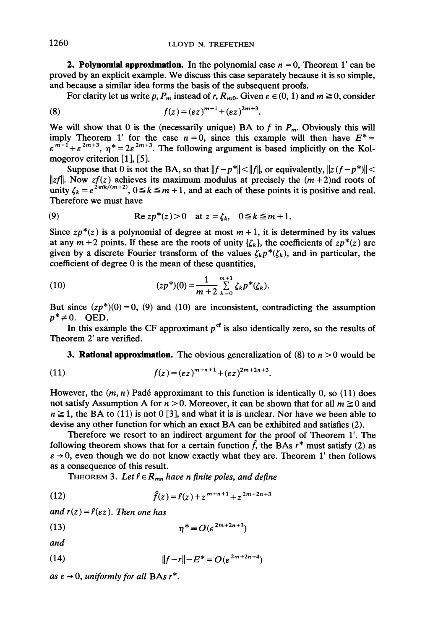**2. Polynomial approximation.** In the polynomial case  $n = 0$ , Theorem 1' can be proved by an explicit example. We discuss this case separately because it is so simple, and because a similar idea forms the basis of the subsequent proofs.

For clarity let us write p, P<sub>m</sub>, instead of r, R<sub>m0</sub>. Given  $\varepsilon \in (0, 1)$  and  $m \ge 0$ , consider

(8) 
$$
f(z) = (\varepsilon z)^{m+1} + (\varepsilon z)^{2m+3}.
$$

We will show that 0 is the (necessarily unique) BA to f in  $P_m$ . Obviously this will imply Theorem 1' for the case  $n = 0$ , since this example will then have  $E^* =$  $\varepsilon^{m+1} + \varepsilon^{2m+3}$ ,  $\eta^* = 2\varepsilon^{2m+3}$ . The following argument is based implicitly on the Kolmogorov criterion [1], [5].

Suppose that 0 is not the BA, so that  $||f-p^*|| < ||f||$ , or equivalently,  $||z(f-p^*)|| <$ ||zf||. Now zf(z) achieves its maximum modulus at precisely the  $(m+2)$ nd roots of unity  $\zeta_k = e^{2\pi i k/(m+2)}$ ,  $0 \le k \le m+1$ , and at each of these points it is positive and real. Therefore we must have

(9) 
$$
\operatorname{Re} z p^*(z) > 0 \quad \text{at } z = \zeta_k, \quad 0 \leq k \leq m+1.
$$

Since  $zp^*(z)$  is a polynomial of degree at most  $m + 1$ , it is determined by its values at any  $m + 2$  points. If these are the roots of unity  $\{\zeta_k\}$ , the coefficients of  $zp^*(z)$  are given by a discrete Fourier transform of the values  $\zeta_k p^*(\zeta_k)$ , and in particular, the coefficient of degree 0 is the mean of these quantities,

(10) 
$$
(zp^*)(0) = \frac{1}{m+2} \sum_{k=0}^{m+1} \zeta_k p^*(\zeta_k).
$$

But since  $(zp^*)(0)=0$ , (9) and (10) are inconsistent, contradicting the assumption  $p^* \neq 0$ . OED.

In this example the CF approximant  $p<sup>cf</sup>$  is also identically zero, so the results of Theorem 2' are verified.

**3. Rational approximation.** The obvious generalization of (8) to  $n > 0$  would be

(11) 
$$
f(z) = (\varepsilon z)^{m+n+1} + (\varepsilon z)^{2m+2n+3}.
$$

However, the  $(m, n)$  Padé approximant to this function is identically 0, so (11) does not satisfy Assumption A for  $n > 0$ . Moreover, it can be shown that for all  $m \ge 0$  and  $n \ge 1$ , the BA to (11) is not 0 [3], and what it is is unclear. Nor have we been able to devise any other function for which an exact BA can be exhibited and satisfies (2).

Therefore we resort to an indirect argument for the proof of Theorem 1'. The following theorem shows that for a certain function  $\hat{f}$ , the BAs  $r^*$  must satisfy (2) as  $\varepsilon \rightarrow 0$ , even though we do not know exactly what they are. Theorem 1' then follows as a consequence of this result.

THEOREM 3. Let  $\hat{r} \in R_{mn}$  have n finite poles, and define

(12) 
$$
\hat{f}(z) = \hat{r}(z) + z^{m+n+1} + z^{2m+2n+3}
$$

and  $r(z) = \hat{r}(\varepsilon z)$ . Then one has

$$
\eta^* \equiv O(\varepsilon^{2m+2n+3})
$$

and

(14) 
$$
||f-r||-E^*=O(\varepsilon^{2m+2n+4})
$$

as  $\varepsilon \rightarrow 0$ , uniformly for all BAs  $r^*$ .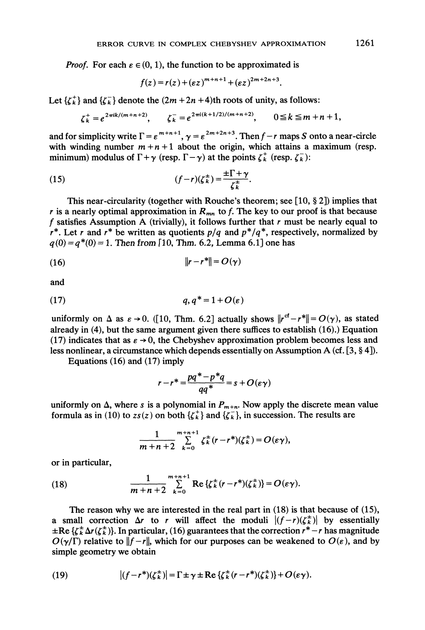*Proof.* For each  $\varepsilon \in (0, 1)$ , the function to be approximated is

$$
f(z) = r(z) + (\varepsilon z)^{m+n+1} + (\varepsilon z)^{2m+2n+3}.
$$

Let  $\{\zeta_k^+\}$  and  $\{\zeta_k^-\}$  denote the  $(2m + 2n + 4)$ th roots of unity, as follows:

$$
\zeta_k^+ = e^{2\pi i k/(m+n+2)}
$$
,  $\zeta_k^- = e^{2\pi i (k+1/2)/(m+n+2)}$ ,  $0 \le k \le m+n+1$ ,

 $\zeta_k^+ = e^{2\pi i k/(m+n+2)}$ ,  $\zeta_k^- = e^{2\pi i (k+1/2)/(m+n+2)}$ ,  $0 \le k \le m+n+1$ ,<br>
implicity write  $\Gamma = \varepsilon^{m+n+1}$ ,  $\gamma = \varepsilon^{2m+2n+3}$ . Then  $f-r$  maps S onto a neding number  $m+n+1$  about the origin, which attains a maximu<br>
m) modulus of and for simplicity write  $\Gamma = \varepsilon^{m+n+1}$ ,  $\gamma = \varepsilon^{2m+2n+3}$ . Then  $f-r$  maps S onto a near-circle with winding number  $m + n + 1$  about the origin, which attains a maximum (resp. minimum) modulus of  $\Gamma + \gamma$  (resp.  $\Gamma - \gamma$ ) at the points  $\zeta_k^+$  (resp.  $\zeta_k^-$ ):

(15) 
$$
(f-r)(\zeta_k^{\pm}) = \frac{\pm \Gamma + \gamma}{\zeta_k^{\pm}}.
$$

This near-circularity (together with Rouche's theorem; see  $[10, § 2]$ ) implies that r is a nearly optimal approximation in  $R_{mn}$  to f. The key to our proof is that because f satisfies Assumption A (trivially), it follows further that  $r$  must be nearly equal to r<sup>\*</sup>. Let r and r<sup>\*</sup> be written as quotients  $p/q$  and  $p^*/q^*$ , respectively, normalized by  $q(0) = q^*(0) = 1$ . Then from [10, Thm. 6.2, Lemma 6.1] one has

$$
||r - r^*|| = O(\gamma)
$$

and

$$
(17) \hspace{3.1em} q, q^* = 1 + O(\varepsilon)
$$

uniformly on  $\Delta$  as  $\varepsilon \to 0$ . ([10, Thm. 6.2] actually shows  $||r^{cf}-r^*||=O(\gamma)$ , as stated already in (4), but the same argument given there suffices to establish (16).) Equation (17) indicates that as  $\varepsilon \to 0$ , the Chebyshev approximation problem becomes less and (17) indicates that as  $\varepsilon \to 0$ , the Chebyshev approximation problem becomes less and less nonlinear, a circumstance which depends essentially on Assumption A (cf. [3, § 4]).

Equations (16) and (17) imply

$$
r - r^* = \frac{pq^* - p^*q}{qq^*} = s + O(\varepsilon \gamma)
$$

uniformly on  $\Delta$ , where s is a polynomial in  $P_{m+n}$ . Now apply the discrete mean value formula as in (10) to  $zs(z)$  on both  $\{\zeta_k^+\}$  and  $\{\zeta_k^-\}$ , in succession. The results are

$$
\frac{1}{m+n+2}\sum_{k=0}^{m+n+1}\zeta_k^{\pm}(r-r^*)(\zeta_k^{\pm})=O(\varepsilon\gamma),
$$

or in particular,

(18) 
$$
\frac{1}{m+n+2} \sum_{k=0}^{m+n+1} \text{Re}\left\{ \zeta_k^{\pm}(r-r^*)(\zeta_k^{\pm}) \right\} = O(\varepsilon \gamma).
$$

The reason why we are interested in the real part in  $(18)$  is that because of  $(15)$ , a small correction  $\Delta r$  to r will affect the moduli  $|(f-r)(\zeta_k^{\pm})|$  by essentially  $\pm$ Re { $\zeta_k^{\pm} \Delta r(\zeta_k^{\pm})$ }. In particular, (16) guarantees that the correction  $r^* - r$  has magnitude  $O(\gamma/\Gamma)$  relative to  $||f-r||$ , which for our purposes can be weakened to  $O(\varepsilon)$ , and by simple geometry we obtain

(19) 
$$
|(f-r^*)(\zeta_k^{\pm})| = \Gamma \pm \gamma \pm \text{Re}\left\{\zeta_k^{\pm}(r-r^*)(\zeta_k^{\pm})\right\} + O(\varepsilon \gamma).
$$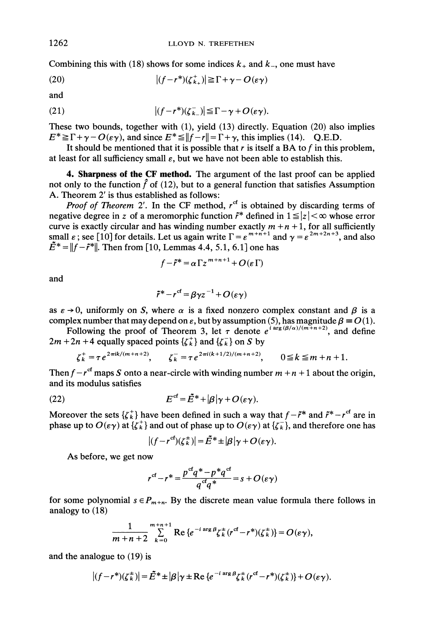Combining this with (18) shows for some indices  $k_+$  and  $k_-,$  one must have

(20) 
$$
|(f-r^*)(\zeta_{k_+}^+)| \geq \Gamma + \gamma - O(\varepsilon \gamma)
$$

and

(21) 
$$
|(f-r^*)(\zeta_{k-}^-)| \leq \Gamma - \gamma + O(\varepsilon \gamma).
$$

These two bounds, together with (1), yield (13) directly. Equation (20) also implies  $E^* \geq \Gamma + \gamma - O(\epsilon \gamma)$ , and since  $E^* \leq ||f - r|| = \Gamma + \gamma$ , this implies (14). Q.E.D.

It should be mentioned that it is possible that r is itself a BA to f in this problem, at least for all sufficiency small  $\varepsilon$ , but we have not been able to establish this.

4. Sharpness of the CF method. The argument of the last proof can be applied not only to the function  $\hat{f}$  of (12), but to a general function that satisfies Assumption A. Theorem 2' is thus established as follows:

**Proof of Theorem 2'.** In the CF method,  $r^{cf}$  is obtained by discarding terms of negative degree in z of a meromorphic function  $\tilde{r}^*$  defined in  $1 \leq |z| < \infty$  whose error curve is exactly circular and has winding number exactly  $m + n + 1$ , for all sufficiently small  $\varepsilon$ ; see [10] for details. Let us again write  $\Gamma = \varepsilon^{m+n+1}$  and  $\gamma = \varepsilon^{2m+2n+3}$ , and also  $||f - \tilde{r}^*||$ . Then from [10, Lemmas 4.4, 5.1, 6.1] one has

$$
f - \tilde{r}^* = \alpha \Gamma z^{m+n+1} + O(\varepsilon \Gamma)
$$

and

$$
\tilde{r}^* - r^{cf} = \beta \gamma z^{-1} + O(\varepsilon \gamma)
$$

as  $\varepsilon \to 0$ , uniformly on S, where  $\alpha$  is a fixed nonzero complex constant and  $\beta$  is a

complex number that may depend on  $\varepsilon$ , but by assumption (5), has magnitude  $\beta \equiv O(1)$ .<br>Following the proof of Theorem 3, let  $\tau$  denote  $e^{i \arg(\beta/\alpha)/(m+n+2)}$ , and define  $2m + 2n + 4$  equally spaced points  $\{\zeta_k^+\}$  and  $\{\zeta_k^-\}$  on S by

$$
\zeta_k^+ = \tau e^{2\pi i k/(m+n+2)}, \qquad \zeta_k^- = \tau e^{2\pi i (k+1/2)/(m+n+2)}, \qquad 0 \le k \le m+n+1.
$$

 $\zeta_k = \tau e$ <br>circle w Then  $f-r^{cf}$  maps S onto a near-circle with winding number  $m + n + 1$  about the origin, and its modulus satisfies

(22) 
$$
E^{cf} = \tilde{E}^* + |\beta| \gamma + O(\varepsilon \gamma).
$$

Moreover the sets  $\{\zeta_k^+\}$  have been defined in such a way that  $f - \tilde{r}^*$  and  $\tilde{r}^* - r^{\text{cf}}$  are in phase up to  $O(\epsilon \gamma)$  at  $\{\zeta_k^+\}$  and out of phase up to  $O(\epsilon \gamma)$  at  $\{\zeta_k^-\}$ , and therefore one has

$$
|(f-r^{cf})(\zeta_k^{\pm})|=\tilde{E}^*\pm |\beta|\gamma+O(\varepsilon\gamma).
$$

As before, we get now

$$
r^{cf} - r^* = \frac{p^{cf}q^* - p^*q^{cf}}{q^{cf}q^*} = s + O(\varepsilon \gamma)
$$

for some polynomial  $s \in P_{m+n}$ . By the discrete mean value formula there follows in analogy to (18)

$$
\frac{1}{m+n+2}\sum_{k=0}^{m+n+1}\text{Re}\left\{e^{-i\arg\beta}\zeta_k^{\pm}(r^{\text{cf}}-r^{\text{A}})(\zeta_k^{\pm})\right\}=O(\varepsilon\gamma),
$$

and the analogue to (19) is

$$
|(f-r^*)(\zeta_k^{\pm})| = \tilde{E}^* \pm |\beta|\gamma \pm \text{Re}\{e^{-i \arg \beta}\zeta_k^{\pm}(r^{cf}-r^*)(\zeta_k^{\pm})\} + O(\varepsilon \gamma).
$$